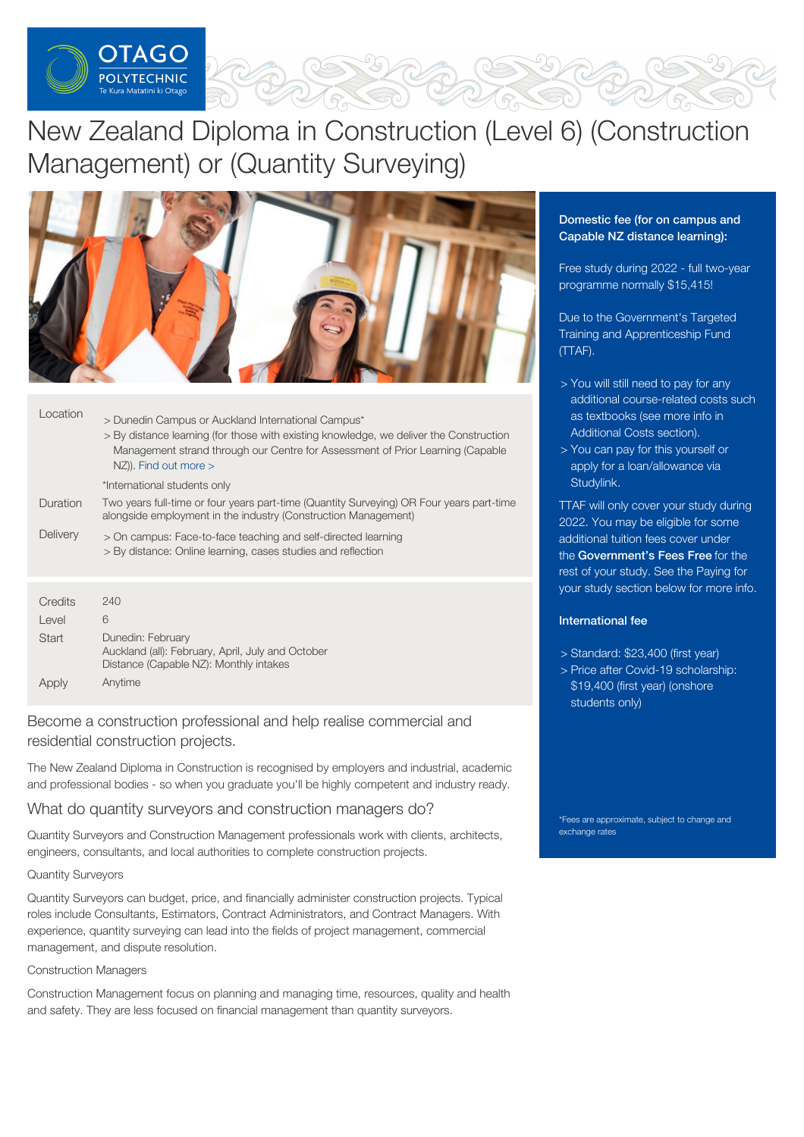

# New Zealand Diploma in Construction (Level 6) (Construction Management) or (Quantity Surveying)



| Location     | > Dunedin Campus or Auckland International Campus*<br>> By distance learning (for those with existing knowledge, we deliver the Construction<br>Management strand through our Centre for Assessment of Prior Learning (Capable<br>$NZ$ ). Find out more $>$ |
|--------------|-------------------------------------------------------------------------------------------------------------------------------------------------------------------------------------------------------------------------------------------------------------|
|              | *International students only                                                                                                                                                                                                                                |
| Duration     | Two years full-time or four years part-time (Quantity Surveying) OR Four years part-time<br>alongside employment in the industry (Construction Management)                                                                                                  |
| Delivery     | > On campus: Face-to-face teaching and self-directed learning<br>> By distance: Online learning, cases studies and reflection                                                                                                                               |
|              |                                                                                                                                                                                                                                                             |
| Credits      | 240                                                                                                                                                                                                                                                         |
| Level        | 6                                                                                                                                                                                                                                                           |
| <b>Start</b> | Dunedin: February                                                                                                                                                                                                                                           |

Apply Auckland (all): February, April, July and October Distance (Capable NZ): Monthly intakes Anytime

Become a construction professional and help realise commercial and residential construction projects.

The New Zealand Diploma in Construction is recognised by employers and industrial, academic and professional bodies - so when you graduate you'll be highly competent and industry ready.

# What do quantity surveyors and construction managers do?

Quantity Surveyors and Construction Management professionals work with clients, architects, engineers, consultants, and local authorities to complete construction projects.

## Quantity Surveyors

Quantity Surveyors can budget, price, and financially administer construction projects. Typical roles include Consultants, Estimators, Contract Administrators, and Contract Managers. With experience, quantity surveying can lead into the fields of project management, commercial management, and dispute resolution.

## Construction Managers

Construction Management focus on planning and managing time, resources, quality and health and safety. They are less focused on financial management than quantity surveyors.

# Domestic fee (for on campus and Capable NZ distance learning):

Free study during 2022 - full two-year programme normally \$15,415!

Due to the Government's Targeted Training and Apprenticeship Fund (TTAF).

- > You will still need to pay for any additional course-related costs such as textbooks (see more info in Additional Costs section).
- > You can pay for this yourself or apply for a loan/allowance via [Studylink](https://www.studylink.govt.nz/).

TTAF will only cover your study during 2022. You may be eligible for some additional tuition fees cover under the [Government's](https://www.feesfree.govt.nz/) Fees Free for the rest of your study. See the Paying for your study section below for more info.

# International fee

- > Standard: \$23,400 (first year)
- > Price after Covid-19 scholarship: \$19,400 (first year) (onshore students only)

\*Fees are approximate, subject to change and exchange rates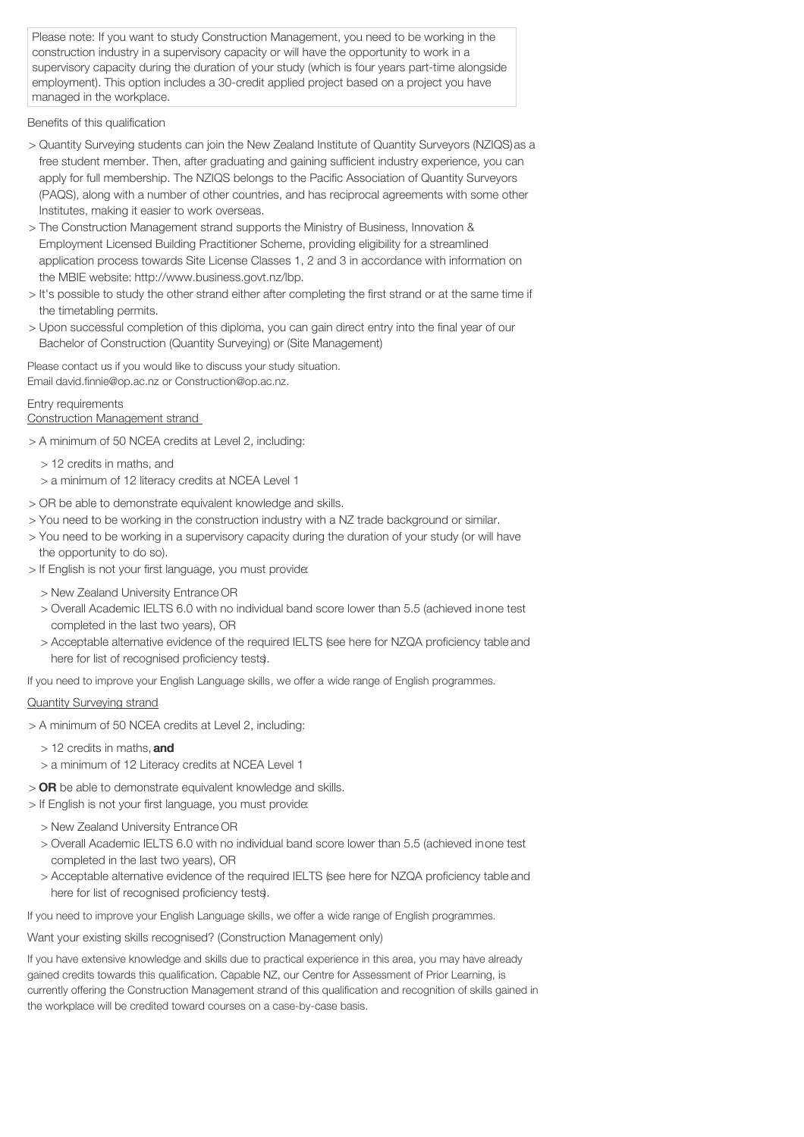Please note: If you want to study Construction Management, you need to be working in the construction industry in a supervisory capacity or will have the opportunity to work in a supervisory capacity during the duration of your study (which is four years part-time alongside employment). This option includes a 30-credit applied project based on a project you have managed in the workplace.

Benefits of this qualification

- > Quantity Surveying students can join the New Zealand Institute of Quantity Surveyors (NZIQS)as a free student member. Then, after graduating and gaining sufficient industry experience, you can apply for full membership. The NZIQS belongs to the Pacific Association of Quantity Surveyors (PAQS), along with a number of other countries, and has reciprocal agreements with some other Institutes, making it easier to work overseas.
- > The Construction Management strand supports the Ministry of Business, Innovation & Employment Licensed Building Practitioner Scheme, providing eligibility for a streamlined application process towards Site License Classes 1, 2 and 3 in accordance with information on the MBIE website: http://www.business.govt.nz/lbp.
- > It's possible to study the other strand either after completing the first strand or at the same time if the timetabling permits.
- > Upon successful completion of this diploma, you can gain direct entry into the final year of our Bachelor of Construction (Quantity Surveying) or (Site Management)

Please contact us if you would like to discuss your study situation. Email david.finnie@op.ac.nz or Construction@op.ac.nz.

## Entry requirements

Construction Management strand

- > A minimum of 50 NCEA credits at Level 2, including:
	- > 12 credits in maths, and
	- > a minimum of 12 literacy credits at NCEA Level 1
- > OR be able to demonstrate equivalent knowledge and skills.
- > You need to be working in the construction industry with a NZ trade background or similar.
- > You need to be working in a supervisory capacity during the duration of your study (or will have the opportunity to do so).
- > If English is not your first language, you must provide:
	- > New Zealand University Entrance OR
	- > Overall Academic IELTS 6.0 with no individual band score lower than 5.5 (achieved inone test completed in the last two years), OR
	- > Acceptable alternative evidence of the required IELTS (see here for NZQA proficiency table and here for list of recognised proficiency tests).

If you need to improve your English Language skills, we offer a wide range of English programmes.

## Quantity Surveying strand

- > A minimum of 50 NCEA credits at Level 2, including:
	- > 12 credits in maths, and
	- > a minimum of 12 Literacy credits at NCEA Level 1
- > OR be able to demonstrate equivalent knowledge and skills.
- > If English is not your first language, you must provide:
	- > New Zealand University Entrance OR
	- > Overall Academic IELTS 6.0 with no individual band score lower than 5.5 (achieved inone test completed in the last two years), OR
	- > Acceptable alternative evidence of the required IELTS (see here for NZQA proficiency table and here for list of recognised proficiency tests).

If you need to improve your English Language skills, we offer a wide range of English programmes.

Want your existing skills recognised? (Construction Management only)

If you have extensive knowledge and skills due to practical experience in this area, you may have already gained credits towards this qualification. Capable NZ, our Centre for Assessment of Prior Learning, is currently offering the Construction Management strand of this qualification and recognition of skills gained in the workplace will be credited toward courses on a case-by-case basis.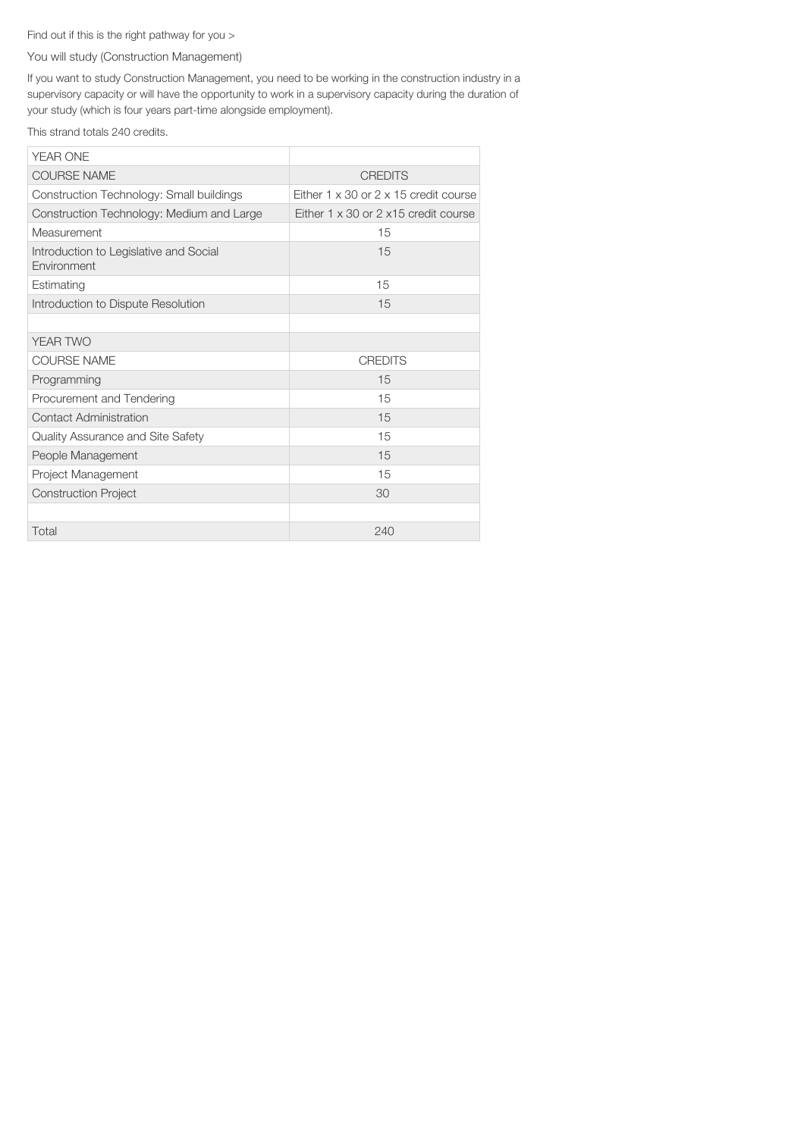# Find out if this is the right pathway for you >

## You will study (Construction Management)

If you want to study Construction Management, you need to be working in the construction industry in a supervisory capacity or will have the opportunity to work in a supervisory capacity during the duration of your study (which is four years part-time alongside employment).

This strand totals 240 credits.

| <b>YEAR ONE</b>                                              |                                                     |
|--------------------------------------------------------------|-----------------------------------------------------|
| <b>COURSE NAME</b>                                           | <b>CREDITS</b>                                      |
| Construction Technology: Small buildings                     | Either $1 \times 30$ or $2 \times 15$ credit course |
| Construction Technology: Medium and Large                    | Either $1 \times 30$ or $2 \times 15$ credit course |
| Measurement                                                  | 15                                                  |
| Introduction to Legislative and Social<br><b>Environment</b> | 15                                                  |
| Estimating                                                   | 15                                                  |
| Introduction to Dispute Resolution                           | 15                                                  |
|                                                              |                                                     |
| YEAR TWO                                                     |                                                     |
| <b>COURSE NAME</b>                                           | <b>CREDITS</b>                                      |
| Programming                                                  | 15                                                  |
| Procurement and Tendering                                    | 15                                                  |
| Contact Administration                                       | 15                                                  |
| Quality Assurance and Site Safety                            | 15                                                  |
| People Management                                            | 15                                                  |
| Project Management                                           | 15                                                  |
| <b>Construction Project</b>                                  | 30                                                  |
|                                                              |                                                     |
| Total                                                        | 240                                                 |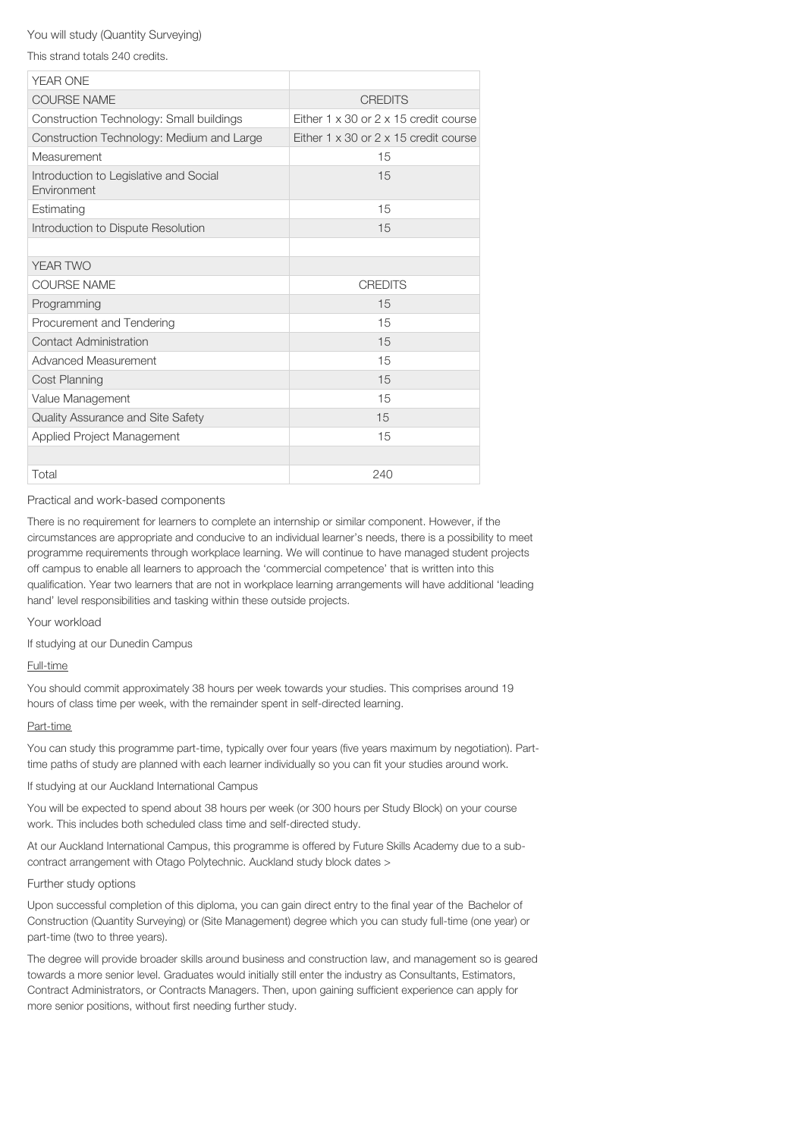#### You will study (Quantity Surveying)

This strand totals 240 credits.

| <b>YEAR ONE</b>                                       |                                                     |
|-------------------------------------------------------|-----------------------------------------------------|
| <b>COURSE NAME</b>                                    | <b>CREDITS</b>                                      |
| Construction Technology: Small buildings              | Either $1 \times 30$ or $2 \times 15$ credit course |
| Construction Technology: Medium and Large             | Either $1 \times 30$ or $2 \times 15$ credit course |
| Measurement                                           | 15                                                  |
| Introduction to Legislative and Social<br>Fnvironment | 15                                                  |
| Estimating                                            | 15                                                  |
| Introduction to Dispute Resolution                    | 15                                                  |
|                                                       |                                                     |
| YEAR TWO                                              |                                                     |
| <b>COURSE NAME</b>                                    | <b>CREDITS</b>                                      |
| Programming                                           | 15                                                  |
| Procurement and Tendering                             | 15                                                  |
| Contact Administration                                | 15                                                  |
| Advanced Measurement                                  | 15                                                  |
| <b>Cost Planning</b>                                  | 15                                                  |
| Value Management                                      | 15                                                  |
| Quality Assurance and Site Safety                     | 15                                                  |
| Applied Project Management                            | 15                                                  |
|                                                       |                                                     |
| Total                                                 | 240                                                 |

Practical and work-based components

There is no requirement for learners to complete an internship or similar component. However, if the circumstances are appropriate and conducive to an individual learner's needs, there is a possibility to meet programme requirements through workplace learning. We will continue to have managed student projects off campus to enable all learners to approach the 'commercial competence' that is written into this qualification. Year two learners that are not in workplace learning arrangements will have additional 'leading hand' level responsibilities and tasking within these outside projects.

Your workload

If studying at our Dunedin Campus

Full-time

You should commit approximately 38 hours per week towards your studies. This comprises around 19 hours of class time per week, with the remainder spent in self-directed learning.

#### Part-time

You can study this programme part-time, typically over four years (five years maximum by negotiation). Parttime paths of study are planned with each learner individually so you can fit your studies around work.

If studying at our Auckland International Campus

You will be expected to spend about 38 hours per week (or 300 hours per Study Block) on your course work. This includes both scheduled class time and self-directed study.

At our Auckland International Campus, this programme is offered by Future Skills Academy due to a subcontract arrangement with Otago Polytechnic. Auckland study block dates >

#### Further study options

Upon successful completion of this diploma, you can gain direct entry to the final year of the Bachelor of Construction (Quantity Surveying) or (Site Management) degree which you can study full-time (one year) or part-time (two to three years).

The degree will provide broader skills around business and construction law, and management so is geared towards a more senior level. Graduates would initially still enter the industry as Consultants, Estimators, Contract Administrators, or Contracts Managers. Then, upon gaining sufficient experience can apply for more senior positions, without first needing further study.